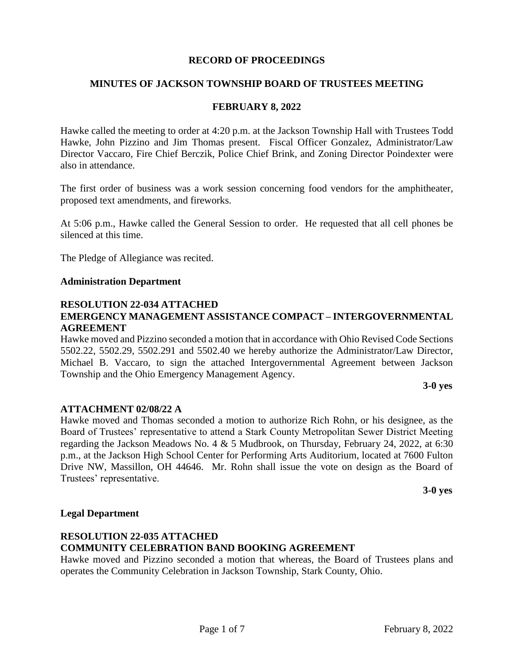#### **RECORD OF PROCEEDINGS**

#### **MINUTES OF JACKSON TOWNSHIP BOARD OF TRUSTEES MEETING**

#### **FEBRUARY 8, 2022**

Hawke called the meeting to order at 4:20 p.m. at the Jackson Township Hall with Trustees Todd Hawke, John Pizzino and Jim Thomas present. Fiscal Officer Gonzalez, Administrator/Law Director Vaccaro, Fire Chief Berczik, Police Chief Brink, and Zoning Director Poindexter were also in attendance.

The first order of business was a work session concerning food vendors for the amphitheater, proposed text amendments, and fireworks.

At 5:06 p.m., Hawke called the General Session to order. He requested that all cell phones be silenced at this time.

The Pledge of Allegiance was recited.

#### **Administration Department**

#### **RESOLUTION 22-034 ATTACHED EMERGENCY MANAGEMENT ASSISTANCE COMPACT – INTERGOVERNMENTAL AGREEMENT**

Hawke moved and Pizzino seconded a motion that in accordance with Ohio Revised Code Sections 5502.22, 5502.29, 5502.291 and 5502.40 we hereby authorize the Administrator/Law Director, Michael B. Vaccaro, to sign the attached Intergovernmental Agreement between Jackson Township and the Ohio Emergency Management Agency.

#### **3-0 yes**

#### **ATTACHMENT 02/08/22 A**

Hawke moved and Thomas seconded a motion to authorize Rich Rohn, or his designee, as the Board of Trustees' representative to attend a Stark County Metropolitan Sewer District Meeting regarding the Jackson Meadows No. 4 & 5 Mudbrook, on Thursday, February 24, 2022, at 6:30 p.m., at the Jackson High School Center for Performing Arts Auditorium, located at 7600 Fulton Drive NW, Massillon, OH 44646. Mr. Rohn shall issue the vote on design as the Board of Trustees' representative.

**3-0 yes**

#### **Legal Department**

#### **RESOLUTION 22-035 ATTACHED COMMUNITY CELEBRATION BAND BOOKING AGREEMENT**

Hawke moved and Pizzino seconded a motion that whereas, the Board of Trustees plans and operates the Community Celebration in Jackson Township, Stark County, Ohio.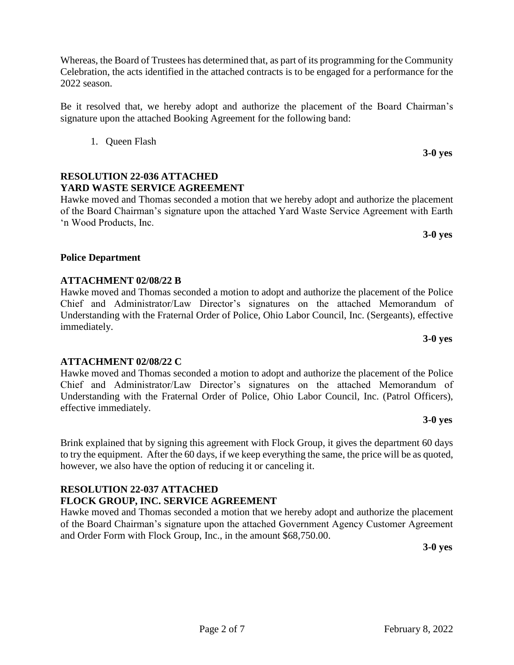Whereas, the Board of Trustees has determined that, as part of its programming for the Community Celebration, the acts identified in the attached contracts is to be engaged for a performance for the 2022 season.

Be it resolved that, we hereby adopt and authorize the placement of the Board Chairman's signature upon the attached Booking Agreement for the following band:

1. Queen Flash

# **RESOLUTION 22-036 ATTACHED YARD WASTE SERVICE AGREEMENT**

Hawke moved and Thomas seconded a motion that we hereby adopt and authorize the placement of the Board Chairman's signature upon the attached Yard Waste Service Agreement with Earth 'n Wood Products, Inc.

#### **Police Department**

## **ATTACHMENT 02/08/22 B**

**ATTACHMENT 02/08/22 C**

Hawke moved and Thomas seconded a motion to adopt and authorize the placement of the Police Chief and Administrator/Law Director's signatures on the attached Memorandum of Understanding with the Fraternal Order of Police, Ohio Labor Council, Inc. (Sergeants), effective immediately.

Hawke moved and Thomas seconded a motion to adopt and authorize the placement of the Police Chief and Administrator/Law Director's signatures on the attached Memorandum of Understanding with the Fraternal Order of Police, Ohio Labor Council, Inc. (Patrol Officers), effective immediately. **3-0 yes**

Brink explained that by signing this agreement with Flock Group, it gives the department 60 days to try the equipment. After the 60 days, if we keep everything the same, the price will be as quoted, however, we also have the option of reducing it or canceling it.

## **RESOLUTION 22-037 ATTACHED FLOCK GROUP, INC. SERVICE AGREEMENT**

Hawke moved and Thomas seconded a motion that we hereby adopt and authorize the placement of the Board Chairman's signature upon the attached Government Agency Customer Agreement and Order Form with Flock Group, Inc., in the amount \$68,750.00.

**3-0 yes**

**3-0 yes**

**3-0 yes**

**3-0 yes**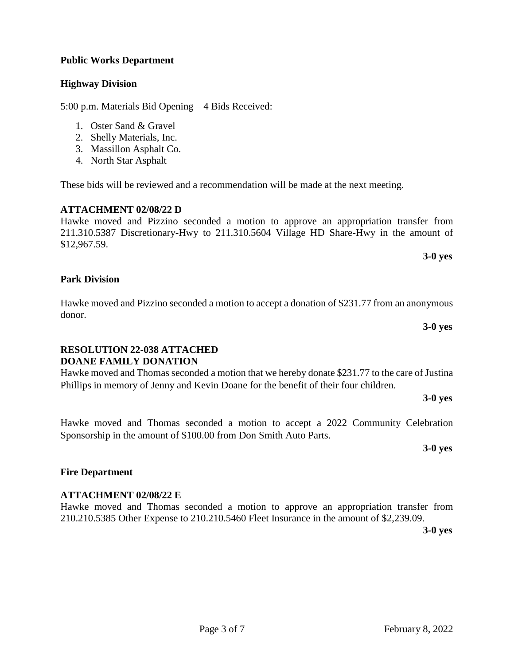# **Public Works Department**

# **Highway Division**

5:00 p.m. Materials Bid Opening – 4 Bids Received:

- 1. Oster Sand & Gravel
- 2. Shelly Materials, Inc.
- 3. Massillon Asphalt Co.
- 4. North Star Asphalt

These bids will be reviewed and a recommendation will be made at the next meeting.

# **ATTACHMENT 02/08/22 D**

Hawke moved and Pizzino seconded a motion to approve an appropriation transfer from 211.310.5387 Discretionary-Hwy to 211.310.5604 Village HD Share-Hwy in the amount of \$12,967.59.

## **Park Division**

Hawke moved and Pizzino seconded a motion to accept a donation of \$231.77 from an anonymous donor.

## **RESOLUTION 22-038 ATTACHED DOANE FAMILY DONATION**

Hawke moved and Thomas seconded a motion that we hereby donate \$231.77 to the care of Justina Phillips in memory of Jenny and Kevin Doane for the benefit of their four children.

Hawke moved and Thomas seconded a motion to accept a 2022 Community Celebration Sponsorship in the amount of \$100.00 from Don Smith Auto Parts.

**3-0 yes**

**3-0 yes**

## **Fire Department**

## **ATTACHMENT 02/08/22 E**

Hawke moved and Thomas seconded a motion to approve an appropriation transfer from 210.210.5385 Other Expense to 210.210.5460 Fleet Insurance in the amount of \$2,239.09.

**3-0 yes**

#### Page 3 of 7 February 8, 2022

**3-0 yes**

**3-0 yes**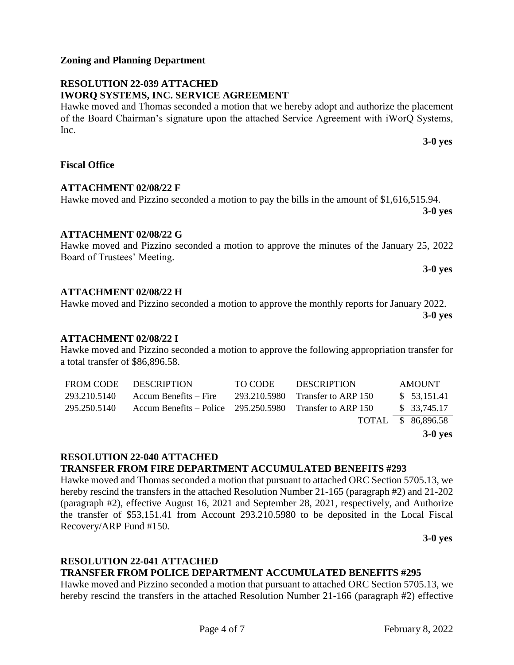**Zoning and Planning Department**

#### **RESOLUTION 22-039 ATTACHED IWORQ SYSTEMS, INC. SERVICE AGREEMENT**

Hawke moved and Thomas seconded a motion that we hereby adopt and authorize the placement of the Board Chairman's signature upon the attached Service Agreement with iWorQ Systems, Inc.

#### **Fiscal Office**

## **ATTACHMENT 02/08/22 F**

## **ATTACHMENT 02/08/22 G**

#### Hawke moved and Pizzino seconded a motion to approve the minutes of the January 25, 2022 Board of Trustees' Meeting. **3-0 yes**

Hawke moved and Pizzino seconded a motion to pay the bills in the amount of \$1,616,515.94.

## **ATTACHMENT 02/08/22 H**

Hawke moved and Pizzino seconded a motion to approve the monthly reports for January 2022.

**3-0 yes**

**3-0 yes**

**3-0 yes**

## **ATTACHMENT 02/08/22 I**

Hawke moved and Pizzino seconded a motion to approve the following appropriation transfer for a total transfer of \$86,896.58.

|                  |                                                            |              |                     | $3-0$ yes          |
|------------------|------------------------------------------------------------|--------------|---------------------|--------------------|
|                  |                                                            |              |                     | TOTAL \$ 86,896.58 |
| 295.250.5140     | Accum Benefits – Police $295.250.5980$ Transfer to ARP 150 |              |                     | \$ 33,745.17       |
| 293.210.5140     | $Accum Benefits - Fire$                                    | 293.210.5980 | Transfer to ARP 150 | \$53,151.41        |
| <b>FROM CODE</b> | <b>DESCRIPTION</b>                                         | TO CODE      | <b>DESCRIPTION</b>  | <b>AMOUNT</b>      |

## **RESOLUTION 22-040 ATTACHED**

# **TRANSFER FROM FIRE DEPARTMENT ACCUMULATED BENEFITS #293**

Hawke moved and Thomas seconded a motion that pursuant to attached ORC Section 5705.13, we hereby rescind the transfers in the attached Resolution Number 21-165 (paragraph #2) and 21-202 (paragraph #2), effective August 16, 2021 and September 28, 2021, respectively, and Authorize the transfer of \$53,151.41 from Account 293.210.5980 to be deposited in the Local Fiscal Recovery/ARP Fund #150*.*

**3-0 yes**

#### **RESOLUTION 22-041 ATTACHED TRANSFER FROM POLICE DEPARTMENT ACCUMULATED BENEFITS #295**

Hawke moved and Pizzino seconded a motion that pursuant to attached ORC Section 5705.13, we hereby rescind the transfers in the attached Resolution Number 21-166 (paragraph #2) effective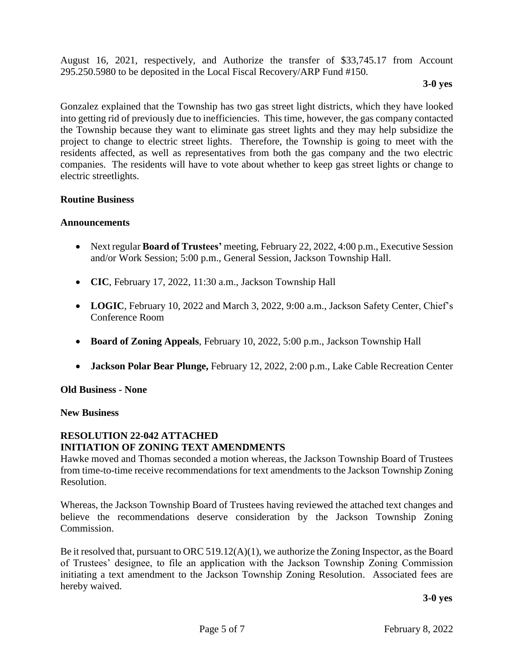August 16, 2021, respectively, and Authorize the transfer of \$33,745.17 from Account 295.250.5980 to be deposited in the Local Fiscal Recovery/ARP Fund #150*.*

#### **3-0 yes**

Gonzalez explained that the Township has two gas street light districts, which they have looked into getting rid of previously due to inefficiencies. This time, however, the gas company contacted the Township because they want to eliminate gas street lights and they may help subsidize the project to change to electric street lights. Therefore, the Township is going to meet with the residents affected, as well as representatives from both the gas company and the two electric companies. The residents will have to vote about whether to keep gas street lights or change to electric streetlights.

## **Routine Business**

#### **Announcements**

- Next regular **Board of Trustees'** meeting, February 22, 2022, 4:00 p.m., Executive Session and/or Work Session; 5:00 p.m., General Session, Jackson Township Hall.
- **CIC**, February 17, 2022, 11:30 a.m., Jackson Township Hall
- **LOGIC**, February 10, 2022 and March 3, 2022, 9:00 a.m., Jackson Safety Center, Chief's Conference Room
- **Board of Zoning Appeals**, February 10, 2022, 5:00 p.m., Jackson Township Hall
- **Jackson Polar Bear Plunge,** February 12, 2022, 2:00 p.m., Lake Cable Recreation Center

**Old Business - None**

**New Business**

## **RESOLUTION 22-042 ATTACHED INITIATION OF ZONING TEXT AMENDMENTS**

Hawke moved and Thomas seconded a motion whereas, the Jackson Township Board of Trustees from time-to-time receive recommendations for text amendments to the Jackson Township Zoning Resolution.

Whereas, the Jackson Township Board of Trustees having reviewed the attached text changes and believe the recommendations deserve consideration by the Jackson Township Zoning Commission.

Be it resolved that, pursuant to ORC 519.12(A)(1), we authorize the Zoning Inspector, as the Board of Trustees' designee, to file an application with the Jackson Township Zoning Commission initiating a text amendment to the Jackson Township Zoning Resolution. Associated fees are hereby waived.

**3-0 yes**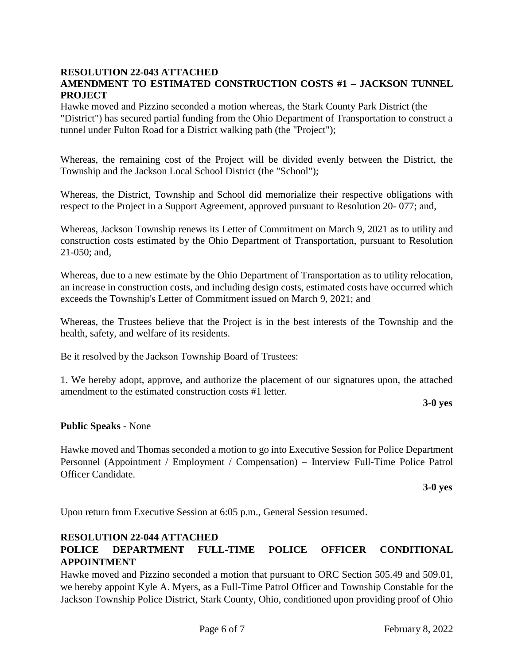#### **RESOLUTION 22-043 ATTACHED AMENDMENT TO ESTIMATED CONSTRUCTION COSTS #1 – JACKSON TUNNEL PROJECT**

Hawke moved and Pizzino seconded a motion whereas, the Stark County Park District (the "District") has secured partial funding from the Ohio Department of Transportation to construct a tunnel under Fulton Road for a District walking path (the "Project");

Whereas, the remaining cost of the Project will be divided evenly between the District, the Township and the Jackson Local School District (the "School");

Whereas, the District, Township and School did memorialize their respective obligations with respect to the Project in a Support Agreement, approved pursuant to Resolution 20- 077; and,

Whereas, Jackson Township renews its Letter of Commitment on March 9, 2021 as to utility and construction costs estimated by the Ohio Department of Transportation, pursuant to Resolution 21-050; and,

Whereas, due to a new estimate by the Ohio Department of Transportation as to utility relocation, an increase in construction costs, and including design costs, estimated costs have occurred which exceeds the Township's Letter of Commitment issued on March 9, 2021; and

Whereas, the Trustees believe that the Project is in the best interests of the Township and the health, safety, and welfare of its residents.

Be it resolved by the Jackson Township Board of Trustees:

1. We hereby adopt, approve, and authorize the placement of our signatures upon, the attached amendment to the estimated construction costs #1 letter.

**3-0 yes**

## **Public Speaks** - None

Hawke moved and Thomas seconded a motion to go into Executive Session for Police Department Personnel (Appointment / Employment / Compensation) – Interview Full-Time Police Patrol Officer Candidate.

**3-0 yes**

Upon return from Executive Session at 6:05 p.m., General Session resumed.

## **RESOLUTION 22-044 ATTACHED**

# **POLICE DEPARTMENT FULL-TIME POLICE OFFICER CONDITIONAL APPOINTMENT**

Hawke moved and Pizzino seconded a motion that pursuant to ORC Section 505.49 and 509.01, we hereby appoint Kyle A. Myers, as a Full-Time Patrol Officer and Township Constable for the Jackson Township Police District, Stark County, Ohio, conditioned upon providing proof of Ohio